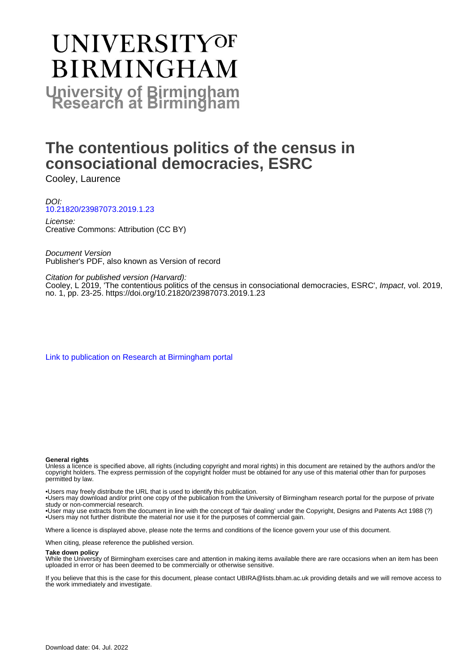## **UNIVERSITYOF BIRMINGHAM University of Birmingham**

## **The contentious politics of the census in consociational democracies, ESRC**

Cooley, Laurence

DOI: [10.21820/23987073.2019.1.23](https://doi.org/10.21820/23987073.2019.1.23)

License: Creative Commons: Attribution (CC BY)

Document Version Publisher's PDF, also known as Version of record

Citation for published version (Harvard):

Cooley, L 2019, 'The contentious politics of the census in consociational democracies, ESRC', Impact, vol. 2019, no. 1, pp. 23-25. <https://doi.org/10.21820/23987073.2019.1.23>

[Link to publication on Research at Birmingham portal](https://birmingham.elsevierpure.com/en/publications/23056584-c1a1-4504-9c41-acea75de5839)

#### **General rights**

Unless a licence is specified above, all rights (including copyright and moral rights) in this document are retained by the authors and/or the copyright holders. The express permission of the copyright holder must be obtained for any use of this material other than for purposes permitted by law.

• Users may freely distribute the URL that is used to identify this publication.

• Users may download and/or print one copy of the publication from the University of Birmingham research portal for the purpose of private study or non-commercial research.

• User may use extracts from the document in line with the concept of 'fair dealing' under the Copyright, Designs and Patents Act 1988 (?) • Users may not further distribute the material nor use it for the purposes of commercial gain.

Where a licence is displayed above, please note the terms and conditions of the licence govern your use of this document.

When citing, please reference the published version.

#### **Take down policy**

While the University of Birmingham exercises care and attention in making items available there are rare occasions when an item has been uploaded in error or has been deemed to be commercially or otherwise sensitive.

If you believe that this is the case for this document, please contact UBIRA@lists.bham.ac.uk providing details and we will remove access to the work immediately and investigate.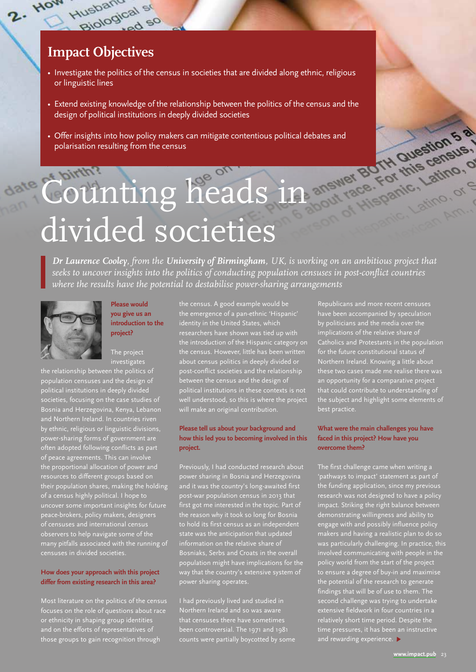### **Impact Objectives**

qusbanucal st

 $\frac{6a}{60}$  so

Husbano

 $2.$  How

- Investigate the politics of the census in societies that are divided along ethnic, religious or linguistic lines
- Extend existing knowledge of the relationship between the politics of the census and the design of political institutions in deeply divided societies
- Offer insights into how policy makers can mitigate contentious political debates and polarisation resulting from the census

# Counting heads in divided societies

*Dr Laurence Cooley, from the University of Birmingham, UK, is working on an ambitious project that seeks to uncover insights into the politics of conducting population censuses in post-conflict countries where the results have the potential to destabilise power-sharing arrangements*



#### **Please would you give us an introduction to the project?**

The project investigate

population censuses and the design of political institutions in deeply divided societies, focusing on the case studies of Bosnia and Herzegovina, Kenya, Lebanon and Northern Ireland. In countries riven by ethnic, religious or linguistic divisions, power-sharing forms of government are often adopted following conflicts as part of peace agreements. This can involve the proportional allocation of power and resources to different groups based on  $\frac{1}{2}$ ir population shares, making the holding of a census highly political. I hope to uncover some important insights for future peace-brokers, policy makers, designers observers to help navigate some of the many pitfalls associated with the running of censuses in divided societies.

#### **How does your approach with this project differ from existing research in this area?**

Most literature on the politics of the census focuses on the role of questions about race ethnicity in shaping group identities and on the efforts of representatives of those groups to gain recognition through

the census. A good example would be the emergence of a pan-ethnic 'Hispanic' identity in the United States, which researchers have shown was tied up with the introduction of the Hispanic category on the census. However, little has been written about census politics in deeply divided or post-conflict societies and the relationship between the census and the design of political institutions in these contexts is not well understood, so this is where the project will make an original contribution.

#### **Please tell us about your background and how this led you to becoming involved in this project.**

Previously, I had conducted research about power sharing in Bosnia and Herzegovina and it was the country's long-awaited first first got me interested in the topic. Part of the reason why it took so long for Bosnia to hold its first census as an independent state was the anticipation that updated information on the relative share of population might have implications for the way that the country's extensive system of power sharing operates.

I had previously lived and studied in been controversial. The 1971 and 1981 counts were partially boycotted by some

Republicans and more recent censuses have been accompanied by speculation by politicians and the media over the implications of the relative share of Catholics and Protestants in the population for the future constitutional status of an opportunity for a comparative project that could contribute to understanding of the subject and highlight some elements of best practice.

#### **What were the main challenges you have faced in this project? How have you overcome them?**

The first challenge came when writing a 'pathways to impact' statement as part of the funding application, since my previous research was not designed to have a policy impact. Striking the right balance between demonstrating willingness and ability to engage with and possibly influence policy makers and having a realistic plan to do so was particularly challenging. In practice, this involved communicating with people in the policy world from the start of the project to ensure a degree of buy-in and maximise the potential of the research to generate findings that will be of use to them. The second challenge was trying to undertake extensive fieldwork in four countries in a relatively short time period. Despite the time pressures, it has been an instructive and rewarding experience.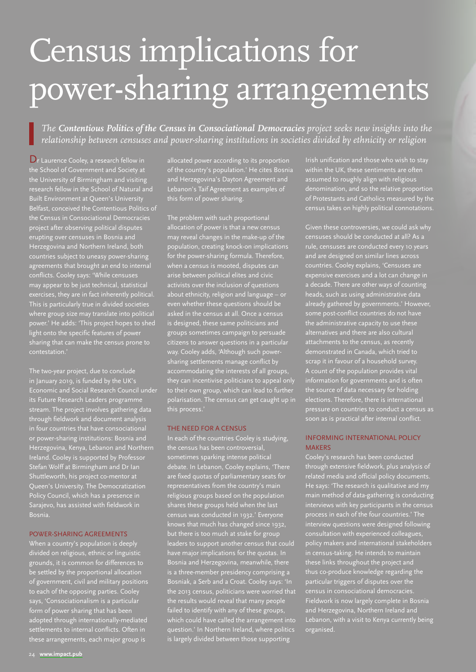## Census implications for power-sharing arrangements

*The Contentious Politics of the Census in Consociational Democracies project seeks new insights into the relationship between censuses and power-sharing institutions in societies divided by ethnicity or religion*

Dr Laurence Cooley, a research fellow in the School of Government and Society at the University of Birmingham and visiting research fellow in the School of Natural and Built Environment at Queen's University Belfast, conceived the Contentious Politics of the Census in Consociational Democracies project after observing political disputes erupting over censuses in Bosnia and Herzegovina and Northern Ireland, both countries subject to uneasy power-sharing agreements that brought an end to internal conflicts. Cooley says: 'While censuses may appear to be just technical, statistical exercises, they are in fact inherently political. This is particularly true in divided societies where group size may translate into political power.' He adds: 'This project hopes to shed light onto the specific features of power sharing that can make the census prone to contestation.'

The two-year project, due to conclude in January 2019, is funded by the UK's Economic and Social Research Council under its Future Research Leaders programme stream. The project involves gathering data through fieldwork and document analysis in four countries that have consociational or power-sharing institutions: Bosnia and Herzegovina, Kenya, Lebanon and Northern Ireland. Cooley is supported by Professor Stefan Wolff at Birmingham and Dr Ian Shuttleworth, his project co-mentor at Queen's University. The Democratization Policy Council, which has a presence in Bosnia.

#### POWER-SHARING AGREEMENTS

When a country's population is deeply divided on religious, ethnic or linguistic grounds, it is common for differences to be settled by the proportional allocation of government, civil and military positions to each of the opposing parties. Cooley says, 'Consociationalism is a particular form of power sharing that has beer adopted through internationally-mediated settlements to internal conflicts. Often in these arrangements, each major group is

allocated power according to its proportion of the country's population.' He cites Bosnia and Herzegovina's Dayton Agreement and Lebanon's Taif Agreement as examples of this form of power sharing.

The problem with such proportional allocation of power is that a new census may reveal changes in the make-up of the population, creating knock-on implications for the power-sharing formula. Therefore, when a census is mooted, disputes can arise between political elites and civic activists over the inclusion of questions about ethnicity, religion and language even whether these questions should be asked in the census at all. Once a census is designed, these same politicians and groups sometimes campaign to persuade citizens to answer questions in a particular way. Cooley adds, 'Although such powersharing settlements manage conflict by accommodating the interests of all groups, they can incentivise politicians to appeal only to their own group, which can lead to further polarisation. The census can get caught up in this process.'

#### THE NEED FOR A CENSUS

In each of the countries Cooley is studying, the census has been controversial, sometimes sparking intense political debate. In Lebanon, Cooley explains, 'There are fixed quotas of parliamentary seats for representatives from the country's main religious groups based on the population shares these groups held when the last census was conducted in 1932.' Everyone knows that much has changed since 1932, but there is too much at stake for group leaders to support another census that could have major implications for the quotas. In Bosnia and Herzegovina, meanwhile, there is a three-member presidency comprising a Bosniak, a Serb and a Croat. Cooley says: 'In the 2013 census, politicians were worried that the results would reveal that many people failed to identify with any of these groups, which could have called the arrangement into question.' In Northern Ireland, where politics is largely divided between those supporting

Irish unification and those who wish to stay assumed to roughly align with religious denomination, and so the relative proportion of Protestants and Catholics measured by the census takes on highly political connotations.

Given these controversies, we could ask why censuses should be conducted at all? As a rule, censuses are conducted every 10 years and are designed on similar lines across countries. Cooley explains, 'Censuses are expensive exercises and a lot can change in cade. There are other ways of counting heads, such as using administrative data already gathered by governments.' However, some post-conflict countries do not have the administrative capacity to use these alternatives and there are also cultural attachments to the census, as recently demonstrated in Canada, which tried to scrap it in favour of a household survey. A count of the population provides vital information for governments and is often the source of data necessary for holding elections. Therefore, there is international pressure on countries to conduct a census as soon as is practical after internal conflict.

#### INFORMING INTERNATIONAL POLICY **MAKERS**

Cooley's research has been conducted through extensive fieldwork, plus analysis of related media and official policy documents. He says: 'The research is qualitative and my main method of data-gathering is conducting interviews with key participants in the census process in each of the four countries.' The interview questions were designed following consultation with experienced colleagues, policy makers and international stakeholders census-taking. He intends to maintain these links throughout the project and thus co-produce knowledge regarding the particular triggers of disputes over the census in consociational democracies. Fieldwork is now largely complete in Bosnia and Herzegovina, Northern Ireland and Lebanon, with a visit to Kenya currently being organised.